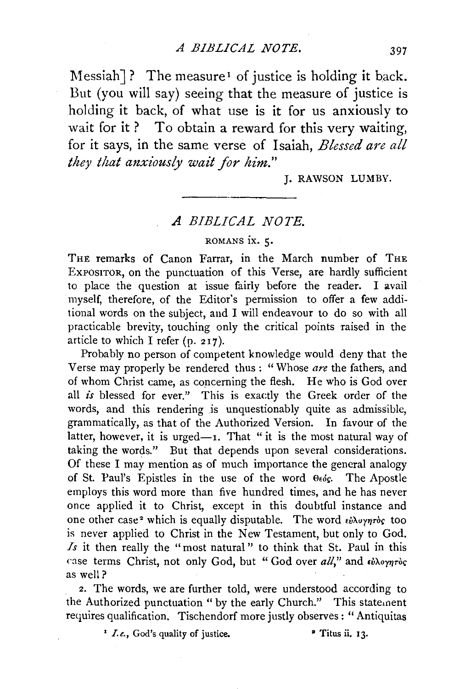Messiah]? The measure<sup>1</sup> of justice is holding it back. But (you will say) seeing that the measure of justice is holding it back, of what use is it for us anxiously to wait for it? To obtain a reward for this very waiting, for it says, in the same verse of Isaiah, *Blessed are all they that anxiously wait for him."* 

J. RAWSON LUMBY.

## *A BIBLICAL NOTE.*

## ROMANS IX. 5.

THE remarks of Canon Farrar, in the March number of THE EXPOSITOR, on the punctuation of this Verse, are hardly sufficient to place the question at issue fairly before the reader. I avail myself, therefore, of the Editor's permission to offer a few additional words on the subject, and I will endeavour to do so with all practicable brevity, touching only the critical points raised in the article to which I refer (p. 217).

Probably no person of competent knowledge would deny that the Verse may properly be rendered thus : "Whose *are* the fathers, and of whom Christ came, as concerning the flesh. He who is God over all *is* blessed for ever." This is exactly the Greek order of the words, and this rendering is unquestionably quite as admissible, grammatically, as that of the Authorized Version. In favour of the latter, however, it is urged- $I$ . That "it is the most natural way of taking the words." But that depends upon several considerations. Of these I may mention as of much importance the general analogy of St. Paul's Epistles in the use of the word  $\theta \epsilon \delta \epsilon$ . The Apostle employs this word more than five hundred times, and he has never once applied it to Christ, except in this doubtful instance and one other case<sup>2</sup> which is equally disputable. The word  $\epsilon_b \lambda_{\nu \gamma \eta}$  too is never applied to Christ in the New Testament, but only to God. *.ls* it then really the " most natural " to think that St. Paul in this case terms Christ, not only God, but " God over all," and  $\epsilon\dot{v}\lambda o\gamma\eta\tau o\zeta$ as well?

2. The words, we are further told, were understood according to the Authorized punctuation "by the early Church." This statement requires qualification. Tischendorf more justly observes : "Antiquitas

<sup>1</sup> *I.e.*, God's quality of justice. <sup>•</sup> Titus ii. 13.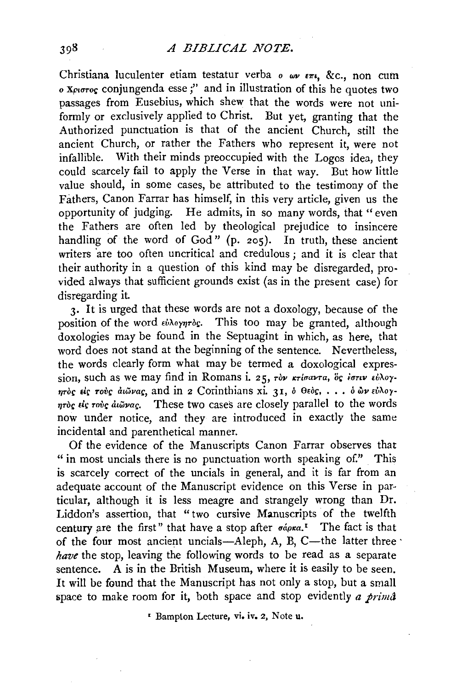## *A BIBLICAL NOTE.*

Christiana luculenter etiam testatur verba *o wv E7ri,* &c., non cuin *o Xp1crroi;* conjungenda esse ;" and in illustration of this he quotes two passages from Eusebius, which shew that the words were not uniformly or exclusively applied to Christ. But yet, granting that the Authorized punctuation is that of the ancient Church, still the ancient Church, or rather the Fathers who represent it, were not infallible. With their minds preoccupied with the Logos idea, they could scarcely fail to apply the Verse in that way. But how little value should, in some cases, be attributed to the testimony of the Fathers, Canon Farrar has himself, in this very article, given us the opportunity of judging. He admits, in so many words, that "even the Fathers are often led by theological prejudice to insincere handling of the word of God" (p. 205). In truth, these ancient writers are too often uncritical and credulous; and it is clear that their authority in a question of this kind may be disregarded, provided always that sufficient grounds exist (as in the present case) for disregarding it.

3. It is urged that these words are not a doxology, because of the position of the word  $\epsilon \lambda_o$ <sub>*nrosi*</sub>. This too may be granted, although doxologies may be found in the Septuagint in which, as here, that word does not stand at the beginning of the sentence. Nevertheless, the words clearly form what may be termed a doxological expression, such as we may find in Romans i. 25, *rov Krigavra*, of *igriv εύλογnroc* είς τους αιώνας, and in 2 Corinthians xi. 31, ο Θεος, ... ο ών εύλογ*nroc eic rove diwvae*. These two cases are closely parallel to the words now under notice, and they are introduced in exactly the same incidental and parenthetical manner.

Of the evidence of the Manuscripts Canon Farrar observes that " in most uncials there is no punctuation worth speaking of." This is scarcely correct of the uncials in general, and it is far from an adequate account of the Manuscript evidence on this Verse in particular, although it is less meagre and strangely wrong than Dr. Liddon's assertion, that "two cursive Manuscripts of the twelfth century are the first" that have a stop after  $\sigma \acute{a} \rho \kappa a$ .<sup>1</sup> The fact is that of the four most ancient uncials-Aleph, A, B, C-the latter three  $\cdot$ *have* the stop, leaving the following words to be read as a separate sentence. A is in the British Museum, where it is easily to be seen. It will be found that the Manuscript has not only a stop, but a small space to make room for it, both space and stop evidently *a prima* 

1 Bamplon Lecture, vi. iv, 2, Note u.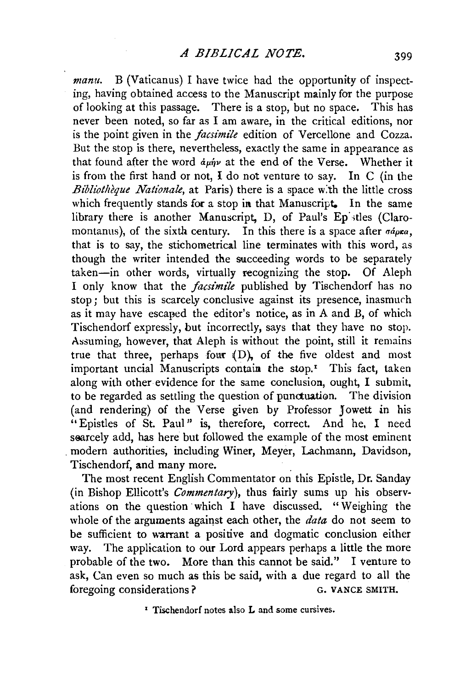*manu.* B (Vaticanus) I have twice had the opportunity of inspecting, having obtained access to the Manuscript mainly for the purpose of looking at this passage. There is a stop, but no space. This has never been noted, so far as I am aware, in the critical editions, nor is the point given in the *facsimile* edition of Vercellone and Cozza. But the stop is there, nevertheless, exactly the same in appearance as that found after the word  $du\nu$  at the end of the Verse. Whether it is from the first hand or not, I do not venture to say. In C (in the *Bibliothèque Nationale*, at Paris) there is a space with the little cross which frequently stands for a stop in that Manuscript. In the same library there is another Manuscript, D, of Paul's Ep stles (Claromontanus), of the sixth century. In this there is a space after  $\sigma \phi_{\mu} \sigma$ , that is to say, the stichometrical line terminates with this word, as though the writer intended the succeeding words to be separately taken-in other words, virtually recognizing the stop. Of Aleph I only know that the *facsimile* published by Tischendorf has no stop; but this is scarcely conclusive against its presence, inasmuch as it may have escaped the editor's notice, as in A and B, of which Tischendorf expressly, but incorrectly, says that they have no stop. Assuming, however, that Aleph is without the point, still it remains true that three, perhaps fom: (D), of the five oldest and most important uncial Manuscripts contain the stop.<sup> $r$ </sup> This fact, taken along with other evidence for the same conclusion, ought, I submit, to be regarded as settling the question of punctuation. The division (and rendering) of the Verse given by Professor Jowett in his "Epistles of St. Paul" is, therefore, correct. And he, I need searcely add, has here but followed the example of the most eminent . modern authorities, including Winer, Meyer, Lachmann, Davidson, Tischendorf, and many more. .

The most recent English Commentator on this Epistle, Dr. Sanday (in Bishop Ellicott's *Commentary),* thus fairly sums up his observations on the question which  $I$  have discussed. "Weighing the whole of the arguments against each other, the *data* do not seem to be sufficient to warrant a positive and dogmatic conclusion either way. The application to our Lord appears perhaps a little the more probable of the two. More than this cannot be said." I venture to ask, Can even so much as this be said, with a due regard to all the foregoing considerations ? G. VANCE SMITH.

<sup>1</sup> Tischendorf notes also L and some cursives.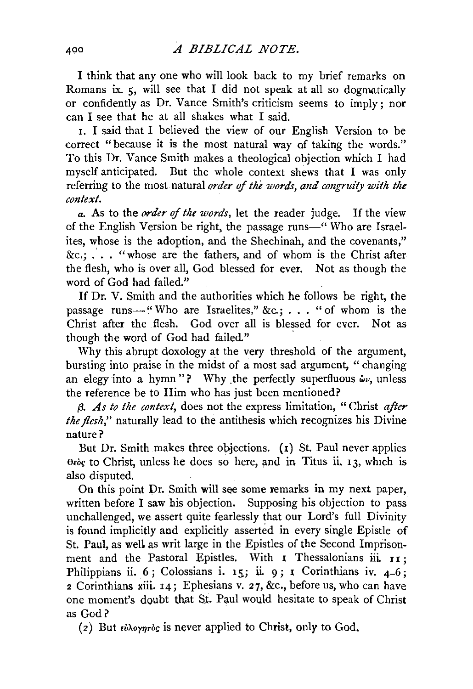I think that any one who will look back to my brief remarks on Romans ix.  $\zeta$ , will see that I did not speak at all so dogmatically. or confidently as Dr. Vance Smith's criticism seems to imply; nor can I see that he at all shakes what I said.

1. I said that I believed the view of our English Version to be correct "because it is the most natural way of taking the words." To this Dr. Vance Smith makes a theological objection which I had myself anticipated. But the whole context shews that I was only referring to the most natural *order* of *the words, and congruity with the context.* 

*a.* As to the *0trder* of *the words,* let the reader judge. If the view of the English Version be right, the passage runs-" Who are Israelites, whose is the adoption, and the Shechinah, and the covenants," &c.;  $\ldots$  "whose are the fathers, and of whom is the Christ after the flesh, who is over all, God blessed for ever. Not as though the word of God had failed."

If Dr. V. Smith and the authorities which he follows be right, the passage runs-"Who are Israelites," &c.; . . . "of whom is the Christ after the flesh. God over all is blessed for ever. Not as though the word of God had failed."

Why this abrupt doxology at the very threshold of the argument, bursting into praise in the midst of a most sad argument, " changing an elegy into a hymn"? Why the perfectly superfluous  $\omega v$ , unless the reference be to Him who has just been mentioned?

*13. As to the context,* does not the express limitation, "Christ *after the flesh,"* naturally lead to the antithesis which recognizes his Divine nature?

But Dr. Smith makes three objections.  $(1)$  St. Paul never applies *0Eoi;* to Christ, unless he does so here, and in Titus ii. I 3, which is also disputed.

On this point Dr. Smith will see some remarks in my next paper, written before I saw his objection. Supposing his objection to pass unchallenged, we assert quite fearlessly that our Lord's full Divinity is found implicitly and explicitly asserted in every single Epistle of St. Paul, as well as writ large in the Epistles of the Second Imprisonment and the Pastoral Epistles. With  $\bar{I}$  Thessalonians iii.  $\bar{I}$   $\bar{I}$  : Philippians ii. 6; Colossians i. 15; ii. 9; 1 Corinthians iv.  $4-6$ ; 2 Corinthians xiii. 14; Ephesians v. 27, &c., before us, who can have one moment's doubt that St. Paul would hesitate to speak of Christ as God?

( 2) But *ivXoyqroi;* is never applied to Christ, only to God.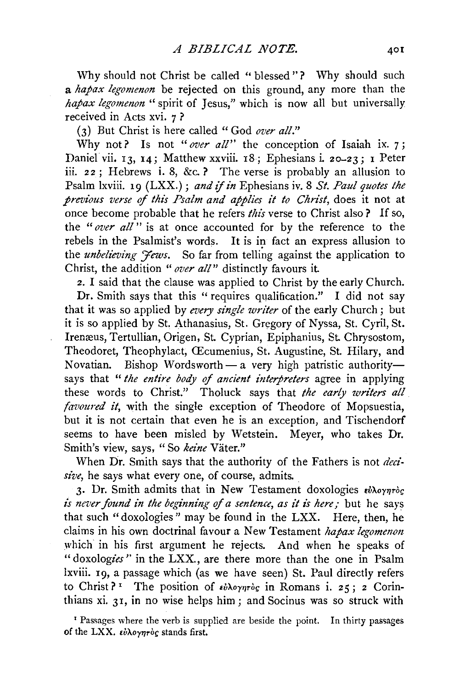Why should not Christ be called "blessed"? Why should such a *hapax legomenon* be rejected on this ground, any more than the *hapax legomenon* "spirit of Jesus," which is now all but universally received in Acts xvi. 7 ?

(3) But Christ is here called "God *over all."* 

Why not? Is not "over all" the conception of Isaiah ix. 7; Daniel vii. 13, 14; Matthew xxviii. 18; Ephesians i. 20-23; 1 Peter iii. 22; Hebrews i. 8, &c.? The verse is probably an allusion to Psalm lxviii. 19 (LXX.) ; *and* if *in* Ephesians iv. 8 *St. Paul quotes the previous verse* ef *this Psalm and applies it to Christ,* does it not at once become probable that he refers *this* verse to Christ also ? If so, the *"over all"* is at once accounted for by the reference to the rebels in the Psalmist's words. It is in fact an express allusion to the *unbelieving 'fews*. So far from telling against the application to Christ, the addition *"over all"* distinctly favours it

2. I said that the clause was applied to Christ by the early Church.

Dr. Smith says that this "requires qualification." I did not say that it was so applied by *every single writer* of the early Church; but it is so applied by St. Athanasius, St. Gregory of Nyssa, St. Cyril, St. Irenæus, Tertullian, Origen, St. Cyprian, Epiphanius, St. Chrysostom, Theodoret, Theophylact, CEcumenius, St. Augustine, St. Hilary, and Novatian. Bishop Wordsworth - a very high patristic authoritysays that *"the entire body* ef *ancient interpreters* agree in applying these words to Christ." Tholuck says that *the early writers all. favoured it*, with the single exception of Theodore of Mopsuestia, but it is not certain that even he is an exception, and Tischendorf seems to have been misled by Wetstein. Meyer, who takes Dr. Smith's view, says, "So keine Väter."

When Dr. Smith says that the authority of the Fathers is not *decisive,* he says what every one, of course, admits.

3. Dr. Smith admits that in New Testament doxologies  $\epsilon b \lambda o \gamma \eta \tau o g$ *is never found in the beginning* ef *a sentence, as it is here;* but he says that such "doxologies " may be found in the LXX. Here, then, he claims in his own doctrinal favour a New Testament *hapax legomenon*  which in his first argument he rejects. And when he speaks of " doxologies" in the LXX, are there more than the one in Psalm lxviii. 19, a passage which (as we have seen) St. Paul directly refers to Christ?<sup>1</sup> The position of *εύλογητός* in Romans i. 25; 2 Corinthians xi. 31, in no wise helps him; and Socinus was so struck with

' Passages where the verb is supplied are beside the point. In thirty passages of the LXX.  $\epsilon \dot{\nu} \lambda o \gamma \eta \tau o \zeta$  stands first.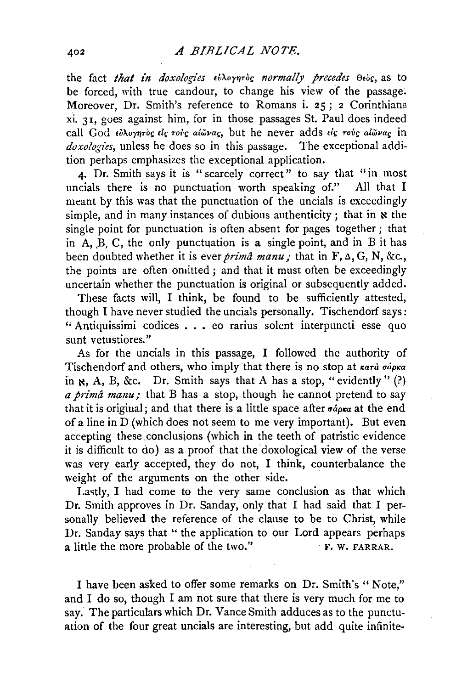the fact *that in doxologies εύλογητός normally precedes* Θεός, as to be forced, with true candour, to change his view of the passage. Moreover, Dr. Smith's reference to Romans i. 25; 2 Corinthians xi. 3 r, goes against him, for in those passages St. Paul does indeed call God *•ll'l..oyqToc Eic roh alwvac,* but he never adds ei(; *rove alwvac* in *doxologies,* unless he does so in this passage. The exceptional addition perhaps emphasizes the exceptional application.

4. Dr. Smith says it is " scarcely correct" to say that "in most cials there is no punctuation worth speaking of." All that I uncials there is no punctuation worth speaking of." meant by this was that the punctuation of the uncials is exceedingly simple, and in many instances of dubious authenticity; that in  $\boldsymbol{\kappa}$  the single point for punctuation is often absent for pages together; that in  $\overline{A}$ ,  $\overline{B}$ ,  $\overline{C}$ , the only punctuation is a single point, and in  $\overline{B}$  it has been doubted whether it is ever *prima manu*; that in  $F$ ,  $\Delta$ ,  $G$ ,  $N$ ,  $\&c$ , the points are often omitted; and that it must often be exceedingly uncertain whether the punctuation is original or subsequently added.

These facts will, I think, be found to be sufficiently attested, though I have never studied the uncials personally. Tischendorf says: " Antiquissimi codices ..• eo rarius solent interpuncti esse quo sunt vetustiores."

As for the uncials in this passage, I followed the authority of Tischendorf and others, who imply that there is no stop at  $\kappa a \tau \dot{a} \sigma \dot{a} \rho \kappa a$ in  $\aleph$ , A, B, &c. Dr. Smith says that A has a stop, "evidently" (?) *a prima manu;* that B has a stop, though he cannot pretend to say that it is original; and that there is a little space after *ociptea* at the end of a line in D (which does not seem to me very important). But even accepting these conclusions (which in the teeth of patristic evidence it is difficult to do) as a proof that the doxological view of the verse was very early accepted, they do not, I think, counterbalance the weight of the arguments on the other side.

Lastly, I had come to the very same conclusion as that which Dr. Smith approves in Dr. Sanday, only that I had said that I personally believed the reference of the clause to be to Christ, while Dr. Sanday says that " the application to our Lord appears perhaps a little the more probable of the two." a little the more probable of the two."

I have been asked to offer some remarks on Dr. Smith's " Note," and I do so, though I am not sure that there is very much for me to say. The particulars which Dr. Vance Smith adduces as to the punctuation of the four great uncials are interesting, but add quite infinite-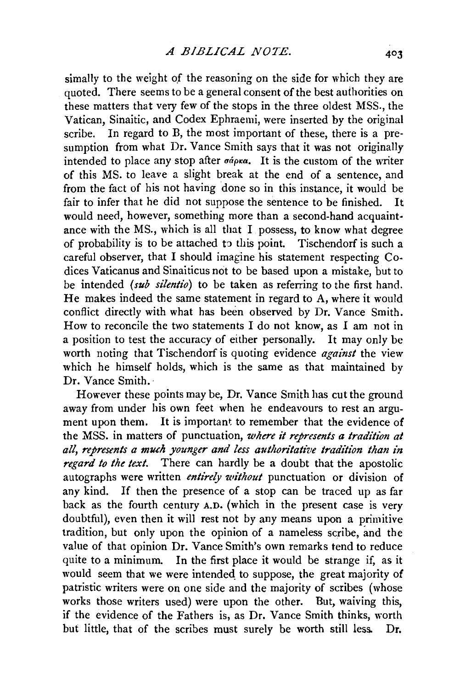simally to the weight of the reasoning on the side for which they are quoted. There seems to be a general consent of the best authorities on these matters that very few of the stops in the three oldest MSS., the Vatican, Sinaitic, and Codex Ephraemi, were inserted by the original scribe. In regard to B, the most important of these, there is a presumption from what Dr. Vance Smith says that it was not originally intended to place any stop after  $\sigma \phi \rho \kappa a$ . It is the custom of the writer of this MS. to leave a slight break at the end of a sentence, and from the fact of his not having done so in this instance, it would be fair to infer that he did not suppose the sentence to be finished. It would need, however, something more than a second-hand acquaint· ance with the MS., which is all that I possess, to know what degree of probability is to be attached *to* this point. Tischendorf is such a careful observer, that I should imagine his statement respecting Codices Vaticanus and Sinaiticus not to be based upon a mistake, but to be intended *(sub silentio)* to be taken as referring to the first hand. He makes indeed the same statement in regard to A, where it would conflict directly with what has been observed by Dr. Vance Smith. How to reconcile the two statements I do not know, as I am not in a position to test the accuracy of either personally. It may only be worth noting that Tischendorf is quoting evidence *against* the view which he himself holds, which is the same as that maintained by Dr. Vance Smith.

However these points may be, Dr. Vance Smith has cutthe ground away from under his own feet when he endeavours to rest an argument upon them. It is important to remember that the evidence of the MSS. in matters of punctuation, *where ii represents a tradition at all, represents a much younger and less authoritative tradition than in regard to the text.* There can hardly be a doubt that the apostolic autographs were written *entirely wi'thout* punctuation or division of any kind. If then the presence of a stop can be traced up as far back as the fourth century A.D. (which in the present case is very doubtful), even then it will rest not by any means upon a primitive tradition, but only upon the opinion of a nameless scribe, and the value of that opinion Dr. Vance Smith's own remarks tend to reduce quite to a minimum. In the first place it would be strange if, as it would seem that we were intended to suppose, the great majority of patristic writers were on one side and the majority of scribes (whose works those writers used) were upon the other. But, waiving this, if the evidence of the Fathers is, as Dr. Vance Smith thinks, worth but little, that of the scribes must surely be worth still less. Dr.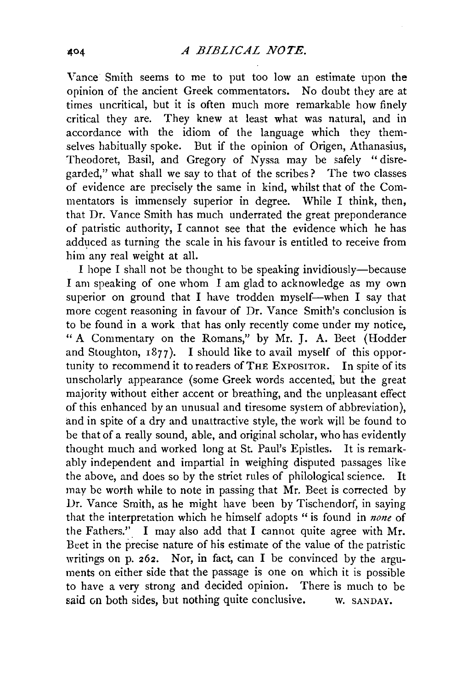Vance Smith seems to me to put too low an estimate upon the opinion of the ancient Greek commentators. No doubt they are at times uncritical, but it is often much more remarkable how finely critical they are. They knew at least what was natural, and in accordance with the idiom of the language which they themselves habitually spoke. But if the opinion of Origen, Athanasius, Theodoret, Basil, and Gregory of Nyssa may be safely "disregarded," what shall we say to that of the scribes? The two classes of evidence are precisely the same in kind, whilst that of the Commentators is immensely superior in degree. While I think, then, that Dr. Vance Smith has much underrated the great preponderance of patristic authority, I cannot see that the evidence which he has adduced as turning the scale in his favour is entitled to receive from him any real weight at all.

I hope I shall not be thought to be speaking invidiously-because I am speaking of one whom I am glad to acknowledge as my own superior on ground that I have trodden myself-when I say that more cogent reasoning in favour of Dr. Vance Smith's conclusion is to be found in a work that has only recently come under my notice, " A Commentary on the Romans," by Mr. J. A. Beet (Hodder and Stoughton,  $1877$ ). I should like to avail myself of this opportunity to recommend it to readers of THE EXPOSITOR. In spite of its unscholarly appearance (some Greek words accented, but the great majority without either accent or breathing, and the unpleasant effect of this enhanced by an unusual and tiresome system of abbreviation), and in spite of a dry and unattractive style, the work will be found to be that of a really sound, able, and original scholar, who has evidently thought much and worked long at St. Paul's Epistles. It is remarkably independent and impartial in weighing disputed passages like the above, and does so by the strict rules of philological science. It may be worth while to note in passing that Mr. Beet is corrected by Dr. Vance Smith, as he might have been by Tischendorf, in saying that the interpretation which he himself adopts " is found in *none* of the Fathers.". I may also add that I cannot quite agree with Mr. Beet in the precise nature of his estimate of the value of the patristic writings on p. 262. Nor, in fact, can I be convinced by the arguments on either side that the passage is one on which it is possible to have a very strong and decided opinion. There is much to be said on both sides, but nothing quite conclusive. w. SANDAY.